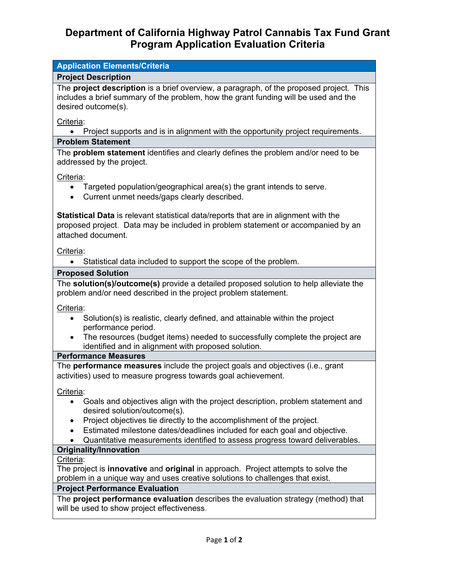# **Department of California Highway Patrol Cannabis Tax Fund Grant Program Application Evaluation Criteria**

# **Application Elements/Criteria Project Description** The **project description** is a brief overview, a paragraph, of the proposed project. This includes a brief summary of the problem, how the grant funding will be used and the desired outcome(s). Criteria: • Project supports and is in alignment with the opportunity project requirements. **Problem Statement** The **problem statement** identifies and clearly defines the problem and/or need to be addressed by the project. Criteria: • Targeted population/geographical area(s) the grant intends to serve. • Current unmet needs/gaps clearly described. **Statistical Data** is relevant statistical data/reports that are in alignment with the proposed project. Data may be included in problem statement or accompanied by an attached document. Criteria: • Statistical data included to support the scope of the problem. **Proposed Solution** The **solution(s)/outcome(s)** provide a detailed proposed solution to help alleviate the problem and/or need described in the project problem statement. Criteria: • Solution(s) is realistic, clearly defined, and attainable within the project performance period. • The resources (budget items) needed to successfully complete the project are identified and in alignment with proposed solution. **Performance Measures**

The **performance measures** include the project goals and objectives (i.e., grant activities) used to measure progress towards goal achievement.

Criteria:

- Goals and objectives align with the project description, problem statement and desired solution/outcome(s).
- Project objectives tie directly to the accomplishment of the project.
- Estimated milestone dates/deadlines included for each goal and objective.
- Quantitative measurements identified to assess progress toward deliverables.

#### **Originality/Innovation**

Criteria:

The project is **innovative** and **original** in approach. Project attempts to solve the problem in a unique way and uses creative solutions to challenges that exist.

#### **Project Performance Evaluation**

The **project performance evaluation** describes the evaluation strategy (method) that will be used to show project effectiveness.